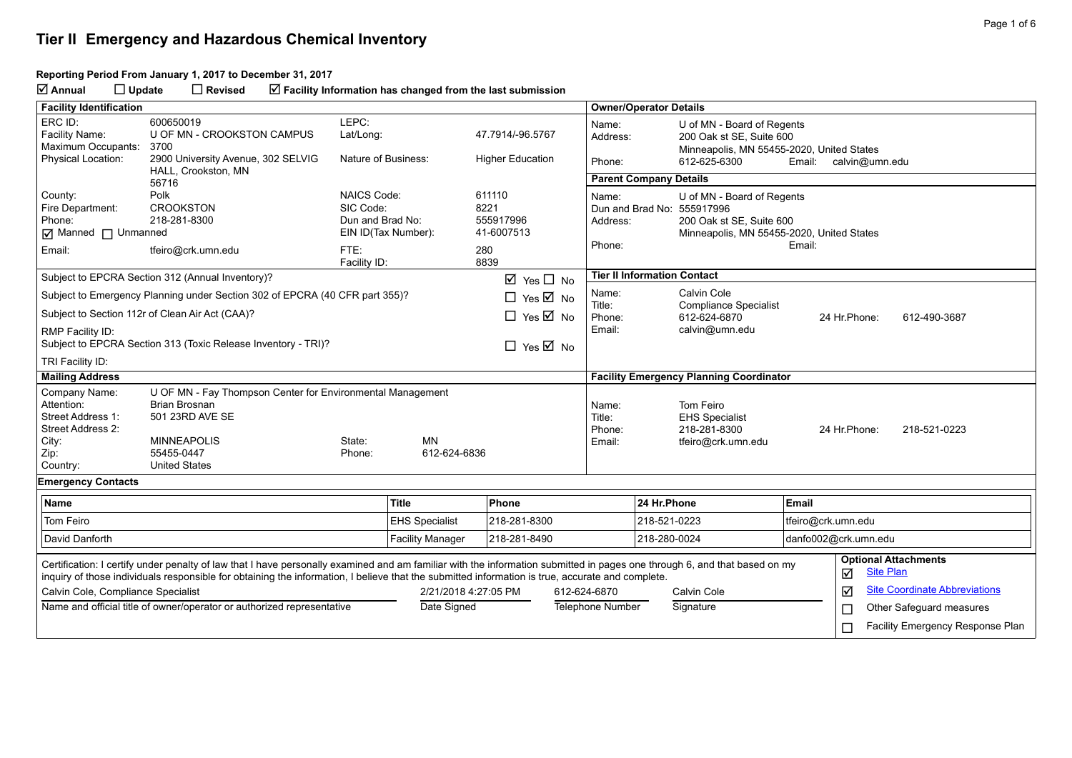#### **Reporting Period From January 1, 2017 to December 31, 2017**

**Annual Update Revised Facility Information has changed from the last submission**

| <b>Facility Identification</b>                                                                                                                                                                                                                                                                                                |                                                                                                                                                                   |                                                             |                           |                                                  |                         | <b>Owner/Operator Details</b>       |              |                                                                                                                                   |                    |                                                 |                                      |
|-------------------------------------------------------------------------------------------------------------------------------------------------------------------------------------------------------------------------------------------------------------------------------------------------------------------------------|-------------------------------------------------------------------------------------------------------------------------------------------------------------------|-------------------------------------------------------------|---------------------------|--------------------------------------------------|-------------------------|-------------------------------------|--------------|-----------------------------------------------------------------------------------------------------------------------------------|--------------------|-------------------------------------------------|--------------------------------------|
| ERC ID:<br>Facility Name:<br>Maximum Occupants:                                                                                                                                                                                                                                                                               | 600650019<br>U OF MN - CROOKSTON CAMPUS<br>3700                                                                                                                   | LEPC:<br>Lat/Long:                                          |                           | 47.7914/-96.5767                                 |                         | Name:<br>Address:                   |              | U of MN - Board of Regents<br>200 Oak st SE, Suite 600<br>Minneapolis, MN 55455-2020, United States                               |                    |                                                 |                                      |
| <b>Physical Location:</b>                                                                                                                                                                                                                                                                                                     | 2900 University Avenue, 302 SELVIG<br>HALL, Crookston, MN                                                                                                         | Nature of Business:                                         |                           | <b>Higher Education</b>                          |                         | Phone:                              |              | 612-625-6300                                                                                                                      | Email:             | calvin@umn.edu                                  |                                      |
|                                                                                                                                                                                                                                                                                                                               | 56716                                                                                                                                                             |                                                             |                           |                                                  |                         | <b>Parent Company Details</b>       |              |                                                                                                                                   |                    |                                                 |                                      |
| County:<br>Fire Department:<br>Phone:<br>Manned I Unmanned<br>Email:                                                                                                                                                                                                                                                          | Polk<br><b>CROOKSTON</b><br>218-281-8300<br>tfeiro@crk.umn.edu                                                                                                    | <b>NAICS Code:</b><br>SIC Code:<br>Dun and Brad No:<br>FTE: | EIN ID(Tax Number):       | 611110<br>8221<br>555917996<br>41-6007513<br>280 |                         | Name:<br>Address:<br>Phone:         |              | U of MN - Board of Regents<br>Dun and Brad No: 555917996<br>200 Oak st SE, Suite 600<br>Minneapolis, MN 55455-2020, United States | Email:             |                                                 |                                      |
|                                                                                                                                                                                                                                                                                                                               | Subject to EPCRA Section 312 (Annual Inventory)?                                                                                                                  | Facility ID:                                                |                           | 8839                                             |                         |                                     |              | <b>Tier II Information Contact</b>                                                                                                |                    |                                                 |                                      |
|                                                                                                                                                                                                                                                                                                                               |                                                                                                                                                                   |                                                             |                           | $\boxtimes$ Yes $\Box$ No                        |                         | Name:                               |              | Calvin Cole                                                                                                                       |                    |                                                 |                                      |
|                                                                                                                                                                                                                                                                                                                               | Subject to Emergency Planning under Section 302 of EPCRA (40 CFR part 355)?                                                                                       |                                                             |                           | $\Box$ Yes $\boxtimes$ No                        |                         | Title:                              |              | <b>Compliance Specialist</b>                                                                                                      |                    |                                                 |                                      |
|                                                                                                                                                                                                                                                                                                                               | Subject to Section 112r of Clean Air Act (CAA)?                                                                                                                   |                                                             |                           | $\Box$ Yes $\overline{\boxtimes}$ No             |                         | Phone:<br>Email:                    |              | 612-624-6870<br>calvin@umn.edu                                                                                                    |                    | 24 Hr.Phone:                                    | 612-490-3687                         |
| RMP Facility ID:                                                                                                                                                                                                                                                                                                              | Subject to EPCRA Section 313 (Toxic Release Inventory - TRI)?                                                                                                     |                                                             |                           | $\Box$ Yes $\boxtimes$ No                        |                         |                                     |              |                                                                                                                                   |                    |                                                 |                                      |
| TRI Facility ID:                                                                                                                                                                                                                                                                                                              |                                                                                                                                                                   |                                                             |                           |                                                  |                         |                                     |              |                                                                                                                                   |                    |                                                 |                                      |
| <b>Mailing Address</b>                                                                                                                                                                                                                                                                                                        |                                                                                                                                                                   |                                                             |                           |                                                  |                         |                                     |              | <b>Facility Emergency Planning Coordinator</b>                                                                                    |                    |                                                 |                                      |
| Company Name:<br>Attention:<br>Street Address 1:<br>Street Address 2:<br>City:<br>Zip:<br>Country:                                                                                                                                                                                                                            | U OF MN - Fay Thompson Center for Environmental Management<br><b>Brian Brosnan</b><br>501 23RD AVE SE<br><b>MINNEAPOLIS</b><br>55455-0447<br><b>United States</b> | State:<br>Phone:                                            | <b>MN</b><br>612-624-6836 |                                                  |                         | Name:<br>Title:<br>Phone:<br>Email: |              | Tom Feiro<br><b>EHS Specialist</b><br>218-281-8300<br>tfeiro@crk.umn.edu                                                          |                    | 24 Hr.Phone:                                    | 218-521-0223                         |
| <b>Emergency Contacts</b>                                                                                                                                                                                                                                                                                                     |                                                                                                                                                                   |                                                             |                           |                                                  |                         |                                     |              |                                                                                                                                   |                    |                                                 |                                      |
| Name                                                                                                                                                                                                                                                                                                                          |                                                                                                                                                                   |                                                             | <b>Title</b>              | Phone                                            |                         |                                     | 24 Hr.Phone  |                                                                                                                                   | Email              |                                                 |                                      |
| Tom Feiro                                                                                                                                                                                                                                                                                                                     |                                                                                                                                                                   |                                                             | <b>EHS Specialist</b>     | 218-281-8300                                     |                         |                                     | 218-521-0223 |                                                                                                                                   | tfeiro@crk.umn.edu |                                                 |                                      |
| David Danforth<br><b>Facility Manager</b>                                                                                                                                                                                                                                                                                     |                                                                                                                                                                   | 218-281-8490                                                |                           | 218-280-0024                                     |                         | danfo002@crk.umn.edu                |              |                                                                                                                                   |                    |                                                 |                                      |
| Certification: I certify under penalty of law that I have personally examined and am familiar with the information submitted in pages one through 6, and that based on my<br>inquiry of those individuals responsible for obtaining the information, I believe that the submitted information is true, accurate and complete. |                                                                                                                                                                   |                                                             |                           |                                                  |                         |                                     |              |                                                                                                                                   | ☑                  | <b>Optional Attachments</b><br><b>Site Plan</b> |                                      |
| Calvin Cole, Compliance Specialist                                                                                                                                                                                                                                                                                            |                                                                                                                                                                   |                                                             |                           | 2/21/2018 4:27:05 PM                             | 612-624-6870            |                                     | Calvin Cole  |                                                                                                                                   |                    | ☑                                               | <b>Site Coordinate Abbreviations</b> |
|                                                                                                                                                                                                                                                                                                                               | Name and official title of owner/operator or authorized representative                                                                                            |                                                             | Date Signed               |                                                  | <b>Telephone Number</b> |                                     | Signature    |                                                                                                                                   |                    | Other Safeguard measures<br>$\Box$              |                                      |
|                                                                                                                                                                                                                                                                                                                               |                                                                                                                                                                   |                                                             |                           |                                                  |                         |                                     |              |                                                                                                                                   |                    | $\Box$                                          | Facility Emergency Response Plan     |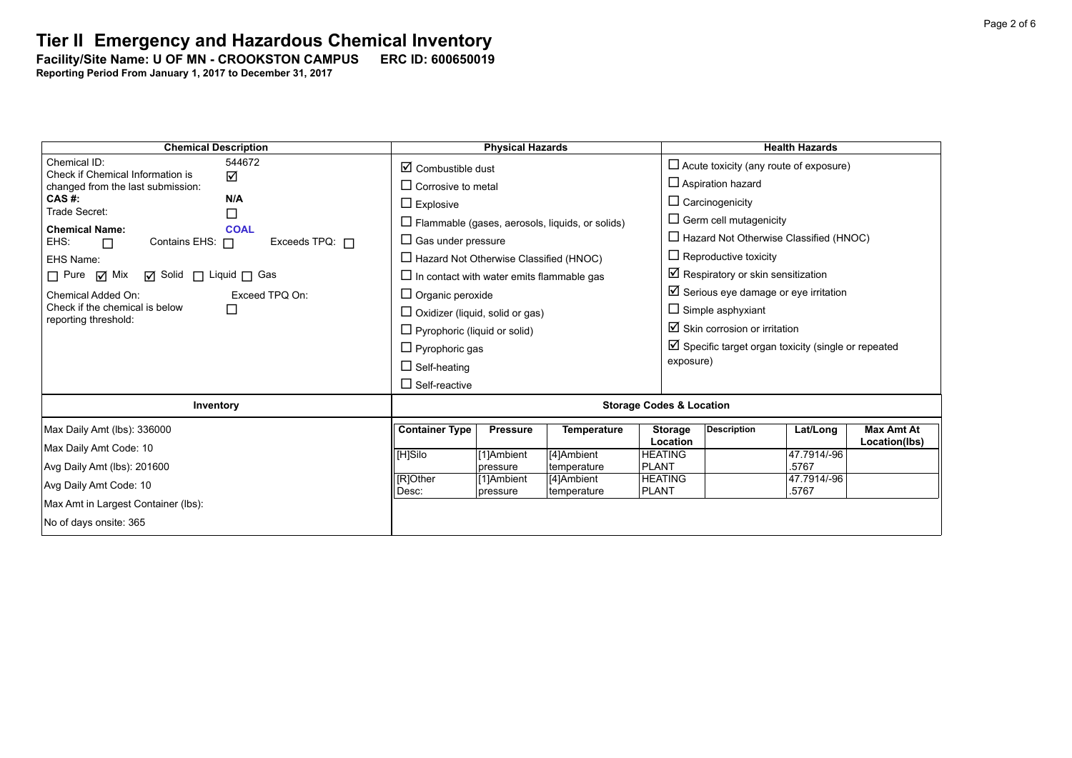#### **Tier II Emergency and Hazardous Chemical Inventory** Facility/Site Name: U OF MN - CROOKSTON CAMPUS ERC ID: 600650019

| <b>Chemical Description</b>                                     |                                                  | <b>Physical Hazards</b>                                |                    |                            |                                                  | <b>Health Hazards</b>                                          |                   |  |  |
|-----------------------------------------------------------------|--------------------------------------------------|--------------------------------------------------------|--------------------|----------------------------|--------------------------------------------------|----------------------------------------------------------------|-------------------|--|--|
| Chemical ID:<br>544672<br>Check if Chemical Information is      |                                                  | $\boxtimes$ Combustible dust                           |                    |                            |                                                  | $\Box$ Acute toxicity (any route of exposure)                  |                   |  |  |
| ☑<br>changed from the last submission:                          |                                                  | $\Box$ Corrosive to metal                              |                    |                            |                                                  | $\Box$ Aspiration hazard                                       |                   |  |  |
| N/A<br>CAS #:<br>Trade Secret:                                  | $\Box$ Explosive                                 |                                                        |                    |                            |                                                  |                                                                |                   |  |  |
| ⊔<br><b>Chemical Name:</b><br><b>COAL</b>                       |                                                  | $\Box$ Flammable (gases, aerosols, liquids, or solids) |                    |                            |                                                  | $\Box$ Germ cell mutagenicity                                  |                   |  |  |
| Contains EHS: 0<br>Exceeds TPQ: $\Box$<br>EHS:<br>$\Box$        | $\Box$ Gas under pressure                        |                                                        |                    |                            |                                                  | $\Box$ Hazard Not Otherwise Classified (HNOC)                  |                   |  |  |
| EHS Name:                                                       | $\Box$ Hazard Not Otherwise Classified (HNOC)    |                                                        |                    |                            | $\Box$ Reproductive toxicity                     |                                                                |                   |  |  |
| $\Box$ Pure $\Box$ Mix<br>$\Box$ Solid $\Box$ Liquid $\Box$ Gas | $\Box$ In contact with water emits flammable gas |                                                        |                    |                            | $\boxtimes$ Respiratory or skin sensitization    |                                                                |                   |  |  |
| Chemical Added On:<br>Exceed TPQ On:                            | $\Box$ Organic peroxide                          |                                                        |                    |                            | $\boxtimes$ Serious eye damage or eye irritation |                                                                |                   |  |  |
| Check if the chemical is below<br>□<br>reporting threshold:     |                                                  | $\Box$ Oxidizer (liquid, solid or gas)                 |                    |                            |                                                  | $\Box$ Simple asphyxiant                                       |                   |  |  |
|                                                                 |                                                  | $\Box$ Pyrophoric (liquid or solid)                    |                    |                            |                                                  | $\boxtimes$ Skin corrosion or irritation                       |                   |  |  |
|                                                                 |                                                  | $\Box$ Pyrophoric gas                                  |                    |                            |                                                  | $\boxtimes$ Specific target organ toxicity (single or repeated |                   |  |  |
|                                                                 | $\Box$ Self-heating                              |                                                        |                    |                            |                                                  | exposure)                                                      |                   |  |  |
|                                                                 |                                                  | $\Box$ Self-reactive                                   |                    |                            |                                                  |                                                                |                   |  |  |
| Inventory                                                       |                                                  | <b>Storage Codes &amp; Location</b>                    |                    |                            |                                                  |                                                                |                   |  |  |
| Max Daily Amt (lbs): 336000                                     | <b>Container Type</b>                            | <b>Pressure</b>                                        | <b>Temperature</b> | <b>Storage</b>             | <b>Description</b>                               | Lat/Long                                                       | <b>Max Amt At</b> |  |  |
| Max Daily Amt Code: 10                                          | [H]Silo                                          | [1]Ambient                                             | [4]Ambient         | Location<br><b>HEATING</b> |                                                  | 47.7914/-96                                                    | Location(lbs)     |  |  |
| Avg Daily Amt (lbs): 201600                                     |                                                  | pressure                                               | temperature        | <b>PLANT</b>               |                                                  | .5767                                                          |                   |  |  |
| Avg Daily Amt Code: 10                                          | [R]Other                                         | [1]Ambient                                             | [4]Ambient         | <b>HEATING</b>             |                                                  | 47.7914/-96                                                    |                   |  |  |
| Max Amt in Largest Container (lbs):                             | Desc:                                            | pressure                                               | temperature        | <b>PLANT</b>               |                                                  | .5767                                                          |                   |  |  |
| No of days onsite: 365                                          |                                                  |                                                        |                    |                            |                                                  |                                                                |                   |  |  |
|                                                                 |                                                  |                                                        |                    |                            |                                                  |                                                                |                   |  |  |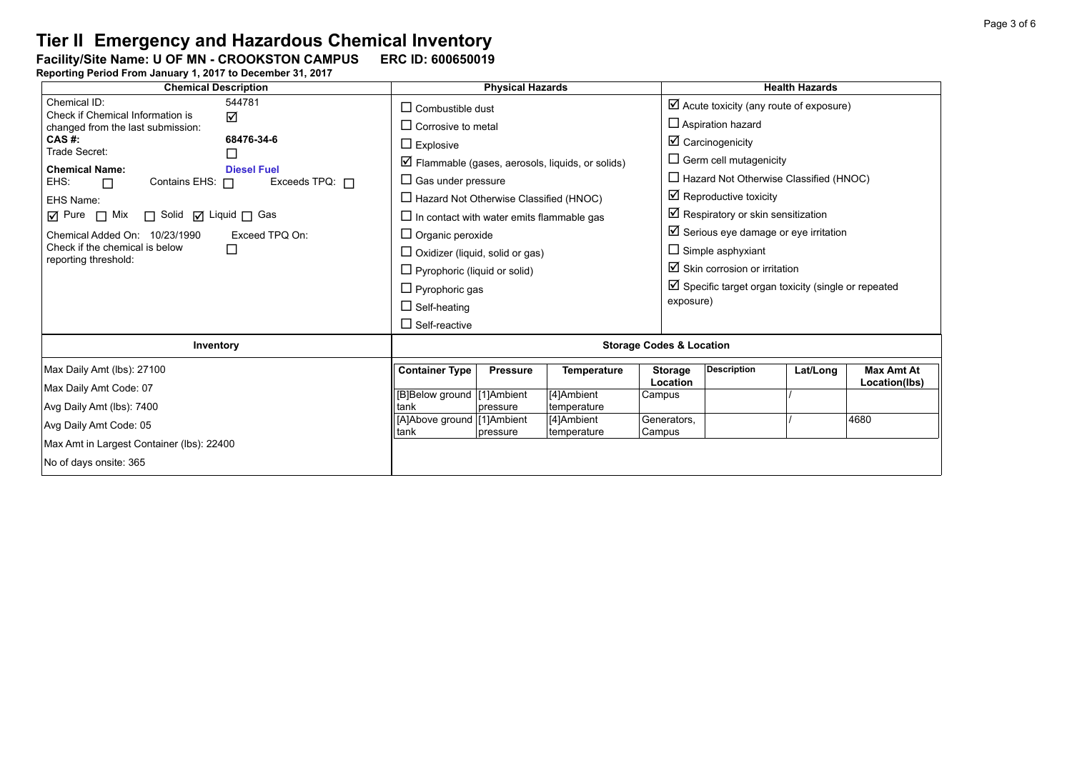Facility/Site Name: U OF MN - CROOKSTON CAMPUS ERC ID: 600650019

| <b>Chemical Description</b>                                                                                                                                                                                                                                                                                                                         | <b>Physical Hazards</b>                                                                           |                                                                                                                                                                                                                                                                                                                                        |                                                                              |                                                               | <b>Health Hazards</b>                                                                                                                                                                                                                                                                                                                                                           |                                                                                                                  |                                            |  |  |
|-----------------------------------------------------------------------------------------------------------------------------------------------------------------------------------------------------------------------------------------------------------------------------------------------------------------------------------------------------|---------------------------------------------------------------------------------------------------|----------------------------------------------------------------------------------------------------------------------------------------------------------------------------------------------------------------------------------------------------------------------------------------------------------------------------------------|------------------------------------------------------------------------------|---------------------------------------------------------------|---------------------------------------------------------------------------------------------------------------------------------------------------------------------------------------------------------------------------------------------------------------------------------------------------------------------------------------------------------------------------------|------------------------------------------------------------------------------------------------------------------|--------------------------------------------|--|--|
| Chemical ID:<br>544781<br>Check if Chemical Information is<br>☑<br>changed from the last submission:<br>CAS #:<br>68476-34-6                                                                                                                                                                                                                        | $\Box$ Explosive                                                                                  | $\Box$ Combustible dust<br>$\Box$ Corrosive to metal                                                                                                                                                                                                                                                                                   |                                                                              |                                                               |                                                                                                                                                                                                                                                                                                                                                                                 | $\blacksquare$ Acute toxicity (any route of exposure)<br>$\Box$ Aspiration hazard<br>$\boxtimes$ Carcinogenicity |                                            |  |  |
| Trade Secret:<br>$\Box$<br><b>Chemical Name:</b><br><b>Diesel Fuel</b><br>EHS:<br>Exceeds TPQ: $\Box$<br>Contains EHS: $\Box$<br>$\Box$<br>EHS Name:<br>$\boxtimes$ Pure $\Box$ Mix<br>$\Box$ Solid $\Box$ Liquid $\Box$ Gas<br>Exceed TPQ On:<br>Chemical Added On: 10/23/1990<br>Check if the chemical is below<br>$\Box$<br>reporting threshold: | $\Box$ Self-heating<br>$\Box$ Self-reactive                                                       | $\triangledown$ Flammable (gases, aerosols, liquids, or solids)<br>$\Box$ Gas under pressure<br>$\Box$ Hazard Not Otherwise Classified (HNOC)<br>$\Box$ In contact with water emits flammable gas<br>$\Box$ Organic peroxide<br>$\Box$ Oxidizer (liquid, solid or gas)<br>$\Box$ Pyrophoric (liquid or solid)<br>$\Box$ Pyrophoric gas |                                                                              |                                                               | $\Box$ Germ cell mutagenicity<br>$\Box$ Hazard Not Otherwise Classified (HNOC)<br>$\boxtimes$ Reproductive toxicity<br>$\boxtimes$ Respiratory or skin sensitization<br>$\boxtimes$ Serious eye damage or eye irritation<br>$\Box$ Simple asphyxiant<br>$\boxtimes$ Skin corrosion or irritation<br>$\boxtimes$ Specific target organ toxicity (single or repeated<br>exposure) |                                                                                                                  |                                            |  |  |
| Inventory                                                                                                                                                                                                                                                                                                                                           |                                                                                                   | <b>Storage Codes &amp; Location</b>                                                                                                                                                                                                                                                                                                    |                                                                              |                                                               |                                                                                                                                                                                                                                                                                                                                                                                 |                                                                                                                  |                                            |  |  |
| Max Daily Amt (lbs): 27100<br>Max Daily Amt Code: 07<br>Avg Daily Amt (lbs): 7400<br>Avg Daily Amt Code: 05<br>Max Amt in Largest Container (lbs): 22400                                                                                                                                                                                            | <b>Container Type</b><br>[B]Below ground [1]Ambient<br>tank<br>[A]Above ground [1]Ambient<br>tank | <b>Pressure</b><br>pressure<br>pressure                                                                                                                                                                                                                                                                                                | <b>Temperature</b><br>[4]Ambient<br>temperature<br>[4]Ambient<br>temperature | <b>Storage</b><br>Location<br>Campus<br>Generators.<br>Campus | <b>Description</b>                                                                                                                                                                                                                                                                                                                                                              | Lat/Long                                                                                                         | <b>Max Amt At</b><br>Location(lbs)<br>4680 |  |  |
| No of days onsite: 365                                                                                                                                                                                                                                                                                                                              |                                                                                                   |                                                                                                                                                                                                                                                                                                                                        |                                                                              |                                                               |                                                                                                                                                                                                                                                                                                                                                                                 |                                                                                                                  |                                            |  |  |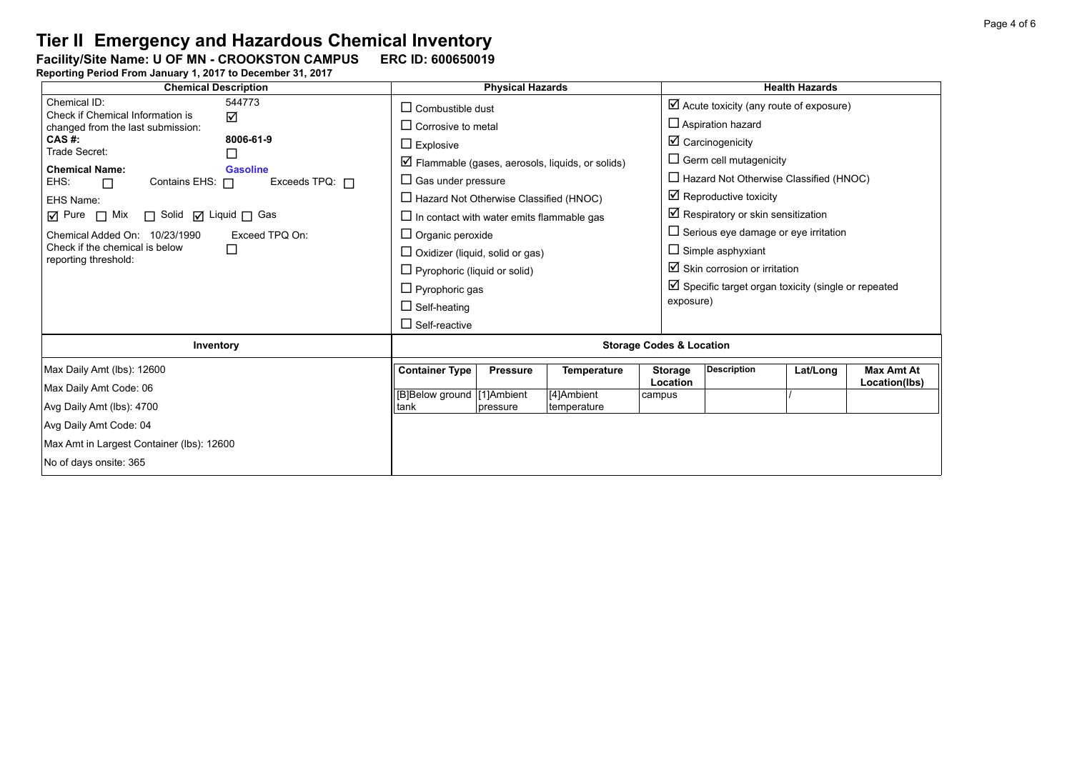Facility/Site Name: U OF MN - CROOKSTON CAMPUS ERC ID: 600650019

| <b>Chemical Description</b>                                                                                                                                                                                                                                                                                                                                  | <b>Physical Hazards</b>                                                                                                                                                                                                                                                                                                                                                                  |                 |                           |                            | <b>Health Hazards</b>                                                                                                                                                                                                                                                                                                                                                                        |          |                                    |  |
|--------------------------------------------------------------------------------------------------------------------------------------------------------------------------------------------------------------------------------------------------------------------------------------------------------------------------------------------------------------|------------------------------------------------------------------------------------------------------------------------------------------------------------------------------------------------------------------------------------------------------------------------------------------------------------------------------------------------------------------------------------------|-----------------|---------------------------|----------------------------|----------------------------------------------------------------------------------------------------------------------------------------------------------------------------------------------------------------------------------------------------------------------------------------------------------------------------------------------------------------------------------------------|----------|------------------------------------|--|
| 544773<br>Chemical ID:<br>Check if Chemical Information is<br>☑<br>changed from the last submission:                                                                                                                                                                                                                                                         | $\Box$ Combustible dust                                                                                                                                                                                                                                                                                                                                                                  |                 |                           |                            | $\boxtimes$ Acute toxicity (any route of exposure)<br>$\Box$ Aspiration hazard                                                                                                                                                                                                                                                                                                               |          |                                    |  |
| CAS #:<br>8006-61-9<br>Trade Secret:<br>⊔<br><b>Chemical Name:</b><br><b>Gasoline</b><br>EHS:<br>Exceeds TPQ: $\Box$<br>Contains EHS: $\Box$<br>$\Box$<br>EHS Name:<br>$\Box$ Solid $\Box$ Liquid $\Box$ Gas<br>$\sqrt{ }$ Pure $\Box$ Mix<br>Chemical Added On: 10/23/1990<br>Exceed TPQ On:<br>Check if the chemical is below<br>□<br>reporting threshold: | $\Box$ Corrosive to metal<br>$\Box$ Explosive<br>$\triangleright$ Flammable (gases, aerosols, liquids, or solids)<br>$\Box$ Gas under pressure<br>$\Box$ Hazard Not Otherwise Classified (HNOC)<br>$\Box$ In contact with water emits flammable gas<br>$\Box$ Organic peroxide<br>$\Box$ Oxidizer (liquid, solid or gas)<br>$\Box$ Pyrophoric (liquid or solid)<br>$\Box$ Pyrophoric gas |                 |                           | exposure)                  | $\boxtimes$ Carcinogenicity<br>$\Box$ Germ cell mutagenicity<br>$\Box$ Hazard Not Otherwise Classified (HNOC)<br>$\boxtimes$ Reproductive toxicity<br>$\boxtimes$ Respiratory or skin sensitization<br>$\Box$ Serious eye damage or eye irritation<br>$\Box$ Simple asphyxiant<br>$\boxtimes$ Skin corrosion or irritation<br>$\boxtimes$ Specific target organ toxicity (single or repeated |          |                                    |  |
|                                                                                                                                                                                                                                                                                                                                                              | $\Box$ Self-heating<br>$\Box$ Self-reactive                                                                                                                                                                                                                                                                                                                                              |                 |                           |                            |                                                                                                                                                                                                                                                                                                                                                                                              |          |                                    |  |
| Inventory                                                                                                                                                                                                                                                                                                                                                    | <b>Storage Codes &amp; Location</b>                                                                                                                                                                                                                                                                                                                                                      |                 |                           |                            |                                                                                                                                                                                                                                                                                                                                                                                              |          |                                    |  |
| Max Daily Amt (lbs): 12600<br>Max Daily Amt Code: 06                                                                                                                                                                                                                                                                                                         | <b>Container Type</b>                                                                                                                                                                                                                                                                                                                                                                    | <b>Pressure</b> | <b>Temperature</b>        | <b>Storage</b><br>Location | <b>Description</b>                                                                                                                                                                                                                                                                                                                                                                           | Lat/Long | <b>Max Amt At</b><br>Location(lbs) |  |
| Avg Daily Amt (lbs): 4700                                                                                                                                                                                                                                                                                                                                    | [B]Below ground [1]Ambient<br>tank                                                                                                                                                                                                                                                                                                                                                       | pressure        | [4]Ambient<br>temperature | campus                     |                                                                                                                                                                                                                                                                                                                                                                                              |          |                                    |  |
| Avg Daily Amt Code: 04<br>Max Amt in Largest Container (lbs): 12600                                                                                                                                                                                                                                                                                          |                                                                                                                                                                                                                                                                                                                                                                                          |                 |                           |                            |                                                                                                                                                                                                                                                                                                                                                                                              |          |                                    |  |
| No of days onsite: 365                                                                                                                                                                                                                                                                                                                                       |                                                                                                                                                                                                                                                                                                                                                                                          |                 |                           |                            |                                                                                                                                                                                                                                                                                                                                                                                              |          |                                    |  |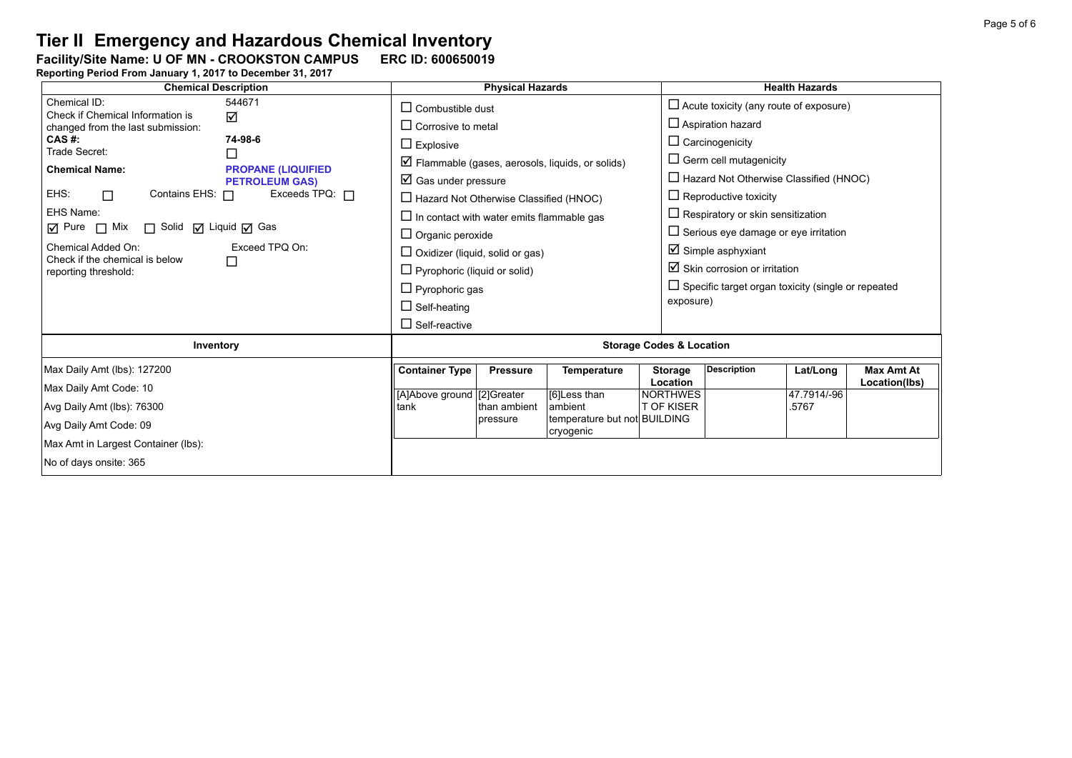Facility/Site Name: U OF MN - CROOKSTON CAMPUS ERC ID: 600650019

| <b>Chemical Description</b>                                                                                                                                                                                                                                                                 |                                                                                                                                                                                                                                                                                       | <b>Physical Hazards</b>                     |                                                                                            |                                                                                          | <b>Health Hazards</b>                                                                                                                                                                                                             |                                    |  |  |
|---------------------------------------------------------------------------------------------------------------------------------------------------------------------------------------------------------------------------------------------------------------------------------------------|---------------------------------------------------------------------------------------------------------------------------------------------------------------------------------------------------------------------------------------------------------------------------------------|---------------------------------------------|--------------------------------------------------------------------------------------------|------------------------------------------------------------------------------------------|-----------------------------------------------------------------------------------------------------------------------------------------------------------------------------------------------------------------------------------|------------------------------------|--|--|
| Chemical ID:<br>544671<br>Check if Chemical Information is<br>☑<br>changed from the last submission:<br>CAS #:<br>74-98-6<br>Trade Secret:<br><b>Chemical Name:</b><br><b>PROPANE (LIQUIFIED)</b><br><b>PETROLEUM GAS)</b><br>EHS:<br>Contains EHS: $\Box$<br>Exceeds TPQ: $\Box$<br>$\Box$ | $\Box$ Combustible dust<br>$\Box$ Corrosive to metal<br>$\Box$ Explosive<br>$\boxtimes$ Gas under pressure                                                                                                                                                                            |                                             | $\triangledown$ Flammable (gases, aerosols, liquids, or solids)                            | $\Box$ Reproductive toxicity                                                             | $\Box$ Acute toxicity (any route of exposure)<br>$\Box$ Aspiration hazard<br>$\Box$ Carcinogenicity<br>$\Box$ Germ cell mutagenicity<br>$\Box$ Hazard Not Otherwise Classified (HNOC)                                             |                                    |  |  |
| EHS Name:<br>□ Solid [7] Liquid [7] Gas<br>$\boxtimes$ Pure $\Box$ Mix<br>Exceed TPQ On:<br>Chemical Added On:<br>Check if the chemical is below<br>□<br>reporting threshold:                                                                                                               | $\Box$ Hazard Not Otherwise Classified (HNOC)<br>$\Box$ In contact with water emits flammable gas<br>$\Box$ Organic peroxide<br>$\Box$ Oxidizer (liquid, solid or gas)<br>$\Box$ Pyrophoric (liquid or solid)<br>$\Box$ Pyrophoric gas<br>$\Box$ Self-heating<br>$\Box$ Self-reactive |                                             |                                                                                            | exposure)                                                                                | $\Box$ Respiratory or skin sensitization<br>$\Box$ Serious eye damage or eye irritation<br>$\boxtimes$ Simple asphyxiant<br>$\boxtimes$ Skin corrosion or irritation<br>$\Box$ Specific target organ toxicity (single or repeated |                                    |  |  |
| Inventory                                                                                                                                                                                                                                                                                   | <b>Storage Codes &amp; Location</b>                                                                                                                                                                                                                                                   |                                             |                                                                                            |                                                                                          |                                                                                                                                                                                                                                   |                                    |  |  |
| Max Daily Amt (lbs): 127200<br>Max Daily Amt Code: 10<br>Avg Daily Amt (lbs): 76300<br>Avg Daily Amt Code: 09<br>Max Amt in Largest Container (lbs):<br>No of days onsite: 365                                                                                                              | <b>Container Type</b><br>[A]Above ground [2]Greater<br>tank                                                                                                                                                                                                                           | <b>Pressure</b><br>than ambient<br>pressure | <b>Temperature</b><br>[6]Less than<br>ambient<br>temperature but not BUILDING<br>cryogenic | <b>Description</b><br><b>Storage</b><br>Location<br><b>NORTHWES</b><br><b>T OF KISER</b> | Lat/Long<br>47.7914/-96<br>.5767                                                                                                                                                                                                  | <b>Max Amt At</b><br>Location(lbs) |  |  |